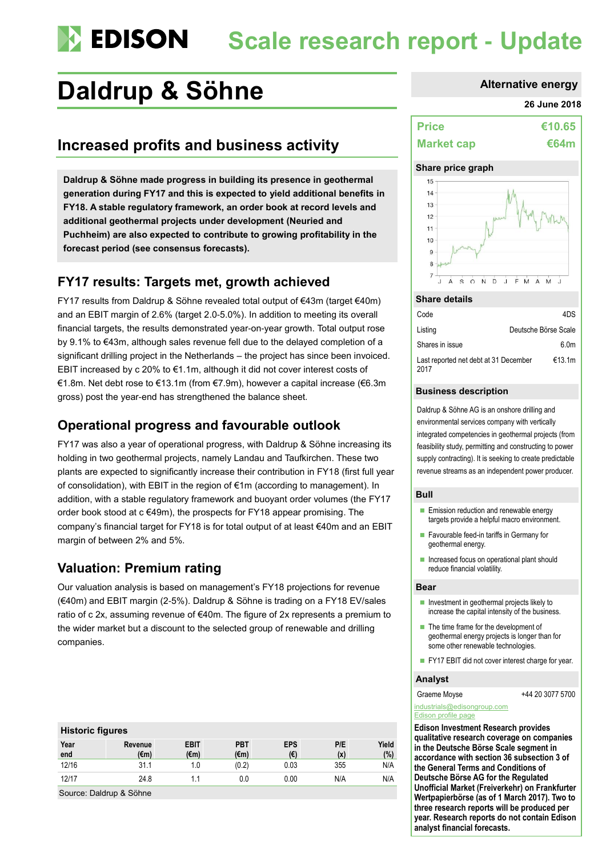# **Scale research report - Update**

## **Daldrup & Söhne Alternative energy**

## **Increased profits and business activity**

**Daldrup & Söhne made progress in building its presence in geothermal generation during FY17 and this is expected to yield additional benefits in FY18. A stable regulatory framework, an order book at record levels and additional geothermal projects under development (Neuried and Puchheim) are also expected to contribute to growing profitability in the forecast period (see consensus forecasts).**

## **FY17 results: Targets met, growth achieved**

FY17 results from Daldrup & Söhne revealed total output of €43m (target €40m) and an EBIT margin of 2.6% (target 2.0-5.0%). In addition to meeting its overall financial targets, the results demonstrated year-on-year growth. Total output rose by 9.1% to €43m, although sales revenue fell due to the delayed completion of a significant drilling project in the Netherlands – the project has since been invoiced. EBIT increased by c 20% to €1.1m, although it did not cover interest costs of €1.8m. Net debt rose to €13.1m (from €7.9m), however a capital increase (€6.3m gross) post the year-end has strengthened the balance sheet.

## **Operational progress and favourable outlook**

FY17 was also a year of operational progress, with Daldrup & Söhne increasing its holding in two geothermal projects, namely Landau and Taufkirchen. These two plants are expected to significantly increase their contribution in FY18 (first full year of consolidation), with EBIT in the region of €1m (according to management). In addition, with a stable regulatory framework and buoyant order volumes (the FY17 order book stood at c €49m), the prospects for FY18 appear promising. The company's financial target for FY18 is for total output of at least €40m and an EBIT margin of between 2% and 5%.

## **Valuation: Premium rating**

Our valuation analysis is based on management's FY18 projections for revenue (€40m) and EBIT margin (2-5%). Daldrup & Söhne is trading on a FY18 EV/sales ratio of c 2x, assuming revenue of €40m. The figure of 2x represents a premium to the wider market but a discount to the selected group of renewable and drilling companies.

#### **Historic figures**

| Year<br>end | Revenue<br>(€m) | <b>EBIT</b><br>(€m) | <b>PBT</b><br>$(\epsilon m)$ | <b>EPS</b><br>(E) | P/E<br>(x) | Yield<br>(%) |
|-------------|-----------------|---------------------|------------------------------|-------------------|------------|--------------|
| 12/16       | 31.1            |                     | (0.2)                        | 0.03              | 355        | N/A          |
| 12/17       | 24.8            | . .                 | 0.0                          | 0.00              | N/A        | N/A          |

Source: Daldrup & Söhne

#### **26 June 2018**

| <b>Price</b>      | €10.65      |
|-------------------|-------------|
| <b>Market cap</b> | <b>€64m</b> |

#### **Share price graph**



#### **Share details**

| Code                                          | 4DS                  |
|-----------------------------------------------|----------------------|
| Listing                                       | Deutsche Börse Scale |
| Shares in issue                               | 6.0 <sub>m</sub>     |
| Last reported net debt at 31 December<br>2017 | €13.1m               |

#### **Business description**

Daldrup & Söhne AG is an onshore drilling and environmental services company with vertically integrated competencies in geothermal projects (from feasibility study, permitting and constructing to power supply contracting). It is seeking to create predictable revenue streams as an independent power producer.

#### **Bull**

- **Emission reduction and renewable energy** targets provide a helpful macro environment.
- **Favourable feed-in tariffs in Germany for** geothermal energy.
- **Increased focus on operational plant should** reduce financial volatility.

#### **Bear**

- **Investment in geothermal projects likely to** increase the capital intensity of the business.
- $\blacksquare$  The time frame for the development of geothermal energy projects is longer than for some other renewable technologies.
- FY17 EBIT did not cover interest charge for year.

#### **Analyst**

Graeme Moyse  $+442030775700$ 

[industrials@edisongroup.com](mailto:industrials@edisongroup.com) [Edison profile page](https://www.edisoninvestmentresearch.com/research/company/daldrup-soehne)

**Edison Investment Research provides qualitative research coverage on companies in the Deutsche Börse Scale segment in accordance with section 36 subsection 3 of the General Terms and Conditions of Deutsche Börse AG for the Regulated Unofficial Market (Freiverkehr) on Frankfurter Wertpapierbörse (as of 1 March 2017). Two to three research reports will be produced per year. Research reports do not contain Edison analyst financial forecasts.**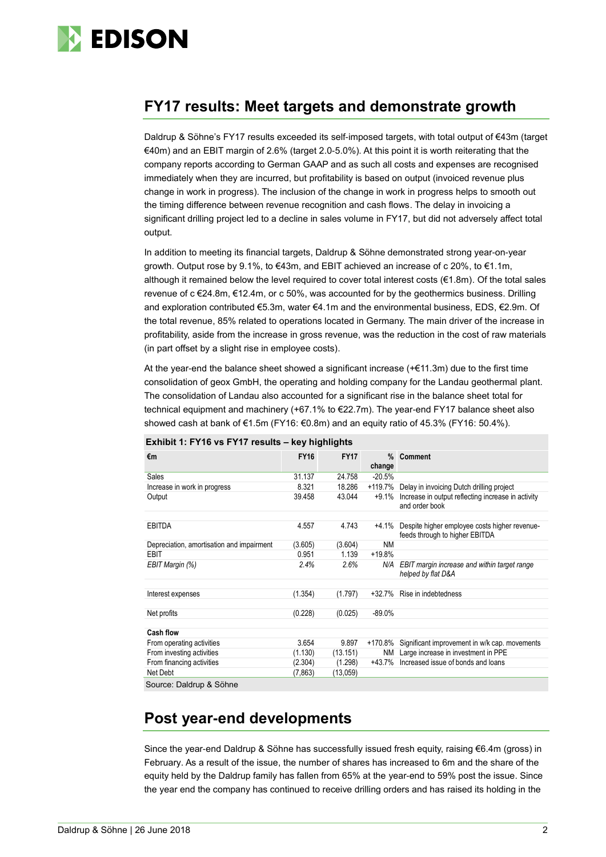

## **FY17 results: Meet targets and demonstrate growth**

Daldrup & Söhne's FY17 results exceeded its self-imposed targets, with total output of €43m (target €40m) and an EBIT margin of 2.6% (target 2.0-5.0%). At this point it is worth reiterating that the company reports according to German GAAP and as such all costs and expenses are recognised immediately when they are incurred, but profitability is based on output (invoiced revenue plus change in work in progress). The inclusion of the change in work in progress helps to smooth out the timing difference between revenue recognition and cash flows. The delay in invoicing a significant drilling project led to a decline in sales volume in FY17, but did not adversely affect total output.

In addition to meeting its financial targets, Daldrup & Söhne demonstrated strong year-on-year growth. Output rose by 9.1%, to €43m, and EBIT achieved an increase of c 20%, to €1.1m, although it remained below the level required to cover total interest costs (€1.8m). Of the total sales revenue of c €24.8m, €12.4m, or c 50%, was accounted for by the geothermics business. Drilling and exploration contributed €5.3m, water €4.1m and the environmental business, EDS, €2.9m. Of the total revenue, 85% related to operations located in Germany. The main driver of the increase in profitability, aside from the increase in gross revenue, was the reduction in the cost of raw materials (in part offset by a slight rise in employee costs).

At the year-end the balance sheet showed a significant increase  $(+£11.3m)$  due to the first time consolidation of geox GmbH, the operating and holding company for the Landau geothermal plant. The consolidation of Landau also accounted for a significant rise in the balance sheet total for technical equipment and machinery (+67.1% to €22.7m). The year-end FY17 balance sheet also showed cash at bank of  $\epsilon$ 1.5m (FY16:  $\epsilon$ 0.8m) and an equity ratio of 45.3% (FY16: 50.4%).

| €m                                        | <b>FY16</b> | <b>FY17</b> | change    | % Comment                                                                       |
|-------------------------------------------|-------------|-------------|-----------|---------------------------------------------------------------------------------|
| Sales                                     | 31.137      | 24.758      | $-20.5%$  |                                                                                 |
| Increase in work in progress              | 8.321       | 18.286      |           | +119.7% Delay in invoicing Dutch drilling project                               |
| Output                                    | 39.458      | 43.044      | +9.1%     | Increase in output reflecting increase in activity<br>and order book            |
| <b>EBITDA</b>                             | 4.557       | 4.743       | +4.1%     | Despite higher employee costs higher revenue-<br>feeds through to higher EBITDA |
| Depreciation, amortisation and impairment | (3.605)     | (3.604)     | <b>NM</b> |                                                                                 |
| EBIT                                      | 0.951       | 1.139       | $+19.8%$  |                                                                                 |
| EBIT Margin (%)                           | 2.4%        | 2.6%        | N/A       | EBIT margin increase and within target range<br>helped by flat D&A              |
| Interest expenses                         | (1.354)     | (1.797)     | $+32.7%$  | Rise in indebtedness                                                            |
| Net profits                               | (0.228)     | (0.025)     | $-89.0%$  |                                                                                 |
| <b>Cash flow</b>                          |             |             |           |                                                                                 |
| From operating activities                 | 3.654       | 9.897       | +170.8%   | Significant improvement in w/k cap. movements                                   |
| From investing activities                 | (1.130)     | (13.151)    |           | NM Large increase in investment in PPE                                          |
| From financing activities                 | (2.304)     | (1.298)     | +43.7%    | Increased issue of bonds and loans                                              |
| Net Debt                                  | (7, 863)    | (13,059)    |           |                                                                                 |
| $\sim$ $\sim$ $\sim$ $\sim$ $\sim$ $\sim$ |             |             |           |                                                                                 |

### **Exhibit 1: FY16 vs FY17 results – key highlights**

Source: Daldrup & Söhne

## **Post year-end developments**

Since the year-end Daldrup & Söhne has successfully issued fresh equity, raising €6.4m (gross) in February. As a result of the issue, the number of shares has increased to 6m and the share of the equity held by the Daldrup family has fallen from 65% at the year-end to 59% post the issue. Since the year end the company has continued to receive drilling orders and has raised its holding in the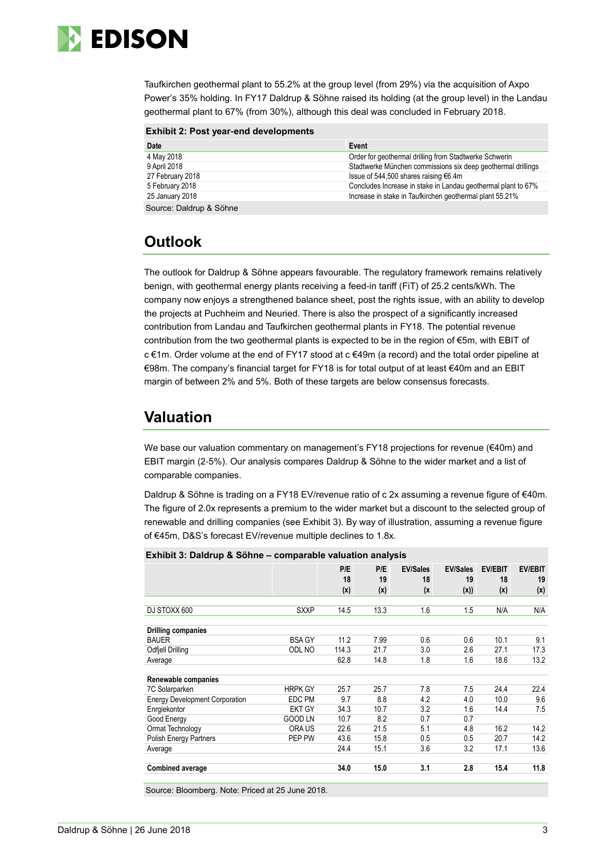

Taufkirchen geothermal plant to 55.2% at the group level (from 29%) via the acquisition of Axpo Power's 35% holding. In FY17 Daldrup & Söhne raised its holding (at the group level) in the Landau geothermal plant to 67% (from 30%), although this deal was concluded in February 2018.

| Date                    | Event                                                         |
|-------------------------|---------------------------------------------------------------|
| 4 May 2018              | Order for geothermal drilling from Stadtwerke Schwerin        |
| 9 April 2018            | Stadtwerke München commissions six deep geothermal drillings  |
| 27 February 2018        | Issue of 544,500 shares raising €6.4m                         |
| 5 February 2018         | Concludes Increase in stake in Landau geothermal plant to 67% |
| 25 January 2018         | Increase in stake in Taufkirchen geothermal plant 55.21%      |
| Source: Daldrup & Söhne |                                                               |

## **Outlook**

The outlook for Daldrup & Söhne appears favourable. The regulatory framework remains relatively benign, with geothermal energy plants receiving a feed-in tariff (FiT) of 25.2 cents/kWh. The company now enjoys a strengthened balance sheet, post the rights issue, with an ability to develop the projects at Puchheim and Neuried. There is also the prospect of a significantly increased contribution from Landau and Taufkirchen geothermal plants in FY18. The potential revenue contribution from the two geothermal plants is expected to be in the region of €5m, with EBIT of c €1m. Order volume at the end of FY17 stood at c €49m (a record) and the total order pipeline at €98m. The company's financial target for FY18 is for total output of at least €40m and an EBIT margin of between 2% and 5%. Both of these targets are below consensus forecasts.

## **Valuation**

We base our valuation commentary on management's FY18 projections for revenue (€40m) and EBIT margin (2-5%). Our analysis compares Daldrup & Söhne to the wider market and a list of comparable companies.

Daldrup & Söhne is trading on a FY18 EV/revenue ratio of c 2x assuming a revenue figure of €40m. The figure of 2.0x represents a premium to the wider market but a discount to the selected group of renewable and drilling companies (see Exhibit 3). By way of illustration, assuming a revenue figure of €45m, D&S's forecast EV/revenue multiple declines to 1.8x.

|                                       | $\blacksquare$ |           |           |                       |                       |                      |                      |
|---------------------------------------|----------------|-----------|-----------|-----------------------|-----------------------|----------------------|----------------------|
|                                       |                | P/E<br>18 | P/E<br>19 | <b>EV/Sales</b><br>18 | <b>EV/Sales</b><br>19 | <b>EV/EBIT</b><br>18 | <b>EV/EBIT</b><br>19 |
|                                       |                | (x)       | (x)       | (x                    | (x))                  | (x)                  | (x)                  |
|                                       |                |           |           |                       |                       |                      |                      |
| DJ STOXX 600                          | <b>SXXP</b>    | 14.5      | 13.3      | 1.6                   | 1.5                   | N/A                  | N/A                  |
|                                       |                |           |           |                       |                       |                      |                      |
| Drilling companies                    |                |           |           |                       |                       |                      |                      |
| <b>BAUER</b>                          | <b>BSA GY</b>  | 11.2      | 7.99      | 0.6                   | 0.6                   | 10.1                 | 9.1                  |
| Odfjell Drilling                      | ODL NO         | 114.3     | 21.7      | 3.0                   | 2.6                   | 27.1                 | 17.3                 |
| Average                               |                | 62.8      | 14.8      | 1.8                   | 1.6                   | 18.6                 | 13.2                 |
| Renewable companies                   |                |           |           |                       |                       |                      |                      |
| 7C Solarparken                        | <b>HRPK GY</b> | 25.7      | 25.7      | 7.8                   | 7.5                   | 24.4                 | 22.4                 |
| <b>Energy Development Corporation</b> | EDC PM         | 9.7       | 8.8       | 4.2                   | 4.0                   | 10.0                 | 9.6                  |
| Enrgiekontor                          | <b>EKT GY</b>  | 34.3      | 10.7      | 3.2                   | 1.6                   | 14.4                 | 7.5                  |
| Good Energy                           | <b>GOOD LN</b> | 10.7      | 8.2       | 0.7                   | 0.7                   |                      |                      |
| Ormat Technology                      | ORA US         | 22.6      | 21.5      | 5.1                   | 4.8                   | 16.2                 | 14.2                 |
| Polish Energy Partners                | PEP PW         | 43.6      | 15.8      | 0.5                   | 0.5                   | 20.7                 | 14.2                 |
| Average                               |                | 24.4      | 15.1      | 3.6                   | 3.2                   | 17.1                 | 13.6                 |
| <b>Combined average</b>               |                | 34.0      | 15.0      | 3.1                   | 2.8                   | 15.4                 | 11.8                 |
|                                       |                |           |           |                       |                       |                      |                      |

**Exhibit 3: Daldrup & Söhne – comparable valuation analysis**

Source: Bloomberg. Note: Priced at 25 June 2018.